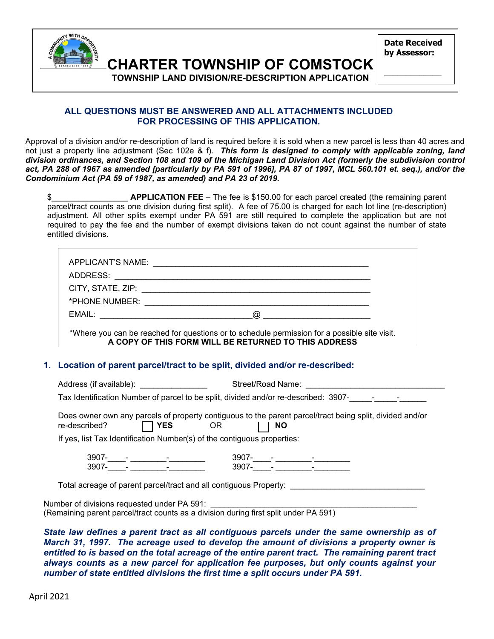

**CHARTER TOWNSHIP OF COMSTOCK** 

**Date Received by Assessor:** 

 $\overline{\phantom{a}}$ 

 **TOWNSHIP LAND DIVISION/RE-DESCRIPTION APPLICATION** 

### **ALL QUESTIONS MUST BE ANSWERED AND ALL ATTACHMENTS INCLUDED FOR PROCESSING OF THIS APPLICATION.**

Approval of a division and/or re-description of land is required before it is sold when a new parcel is less than 40 acres and not just a property line adjustment (Sec 102e & f). *This form is designed to comply with applicable zoning, land division ordinances, and Section 108 and 109 of the Michigan Land Division Act (formerly the subdivision control*  act, PA 288 of 1967 as amended [particularly by PA 591 of 1996], PA 87 of 1997, MCL 560.101 et. seq.), and/or the *Condominium Act (PA 59 of 1987, as amended) and PA 23 of 2019.* 

\$\_\_\_\_\_\_\_\_\_\_\_\_\_\_\_\_\_ **APPLICATION FEE** – The fee is \$150.00 for each parcel created (the remaining parent parcel/tract counts as one division during first split). A fee of 75.00 is charged for each lot line (re-description) adjustment. All other splits exempt under PA 591 are still required to complete the application but are not required to pay the fee and the number of exempt divisions taken do not count against the number of state entitled divisions.

| APPLICANT'S NAME:<br>ADDRESS: |                                                                                                                                                      |  |
|-------------------------------|------------------------------------------------------------------------------------------------------------------------------------------------------|--|
|                               |                                                                                                                                                      |  |
| *PHONE NUMBER:                |                                                                                                                                                      |  |
| EMAIL:                        | $\omega$                                                                                                                                             |  |
|                               | *Where you can be reached for questions or to schedule permission for a possible site visit.<br>A COPY OF THIS FORM WILL BE RETURNED TO THIS ADDRESS |  |

### **1. Location of parent parcel/tract to be split, divided and/or re-described:**

Address (if available): \_\_\_\_\_\_\_\_\_\_\_\_\_\_\_\_\_\_\_\_\_\_\_\_\_\_\_Street/Road Name:

Tax Identification Number of parcel to be split, divided and/or re-described: 3907-

 Does owner own any parcels of property contiguous to the parent parcel/tract being split, divided and/or re-described?  **YES** OR **NO** 

If yes, list Tax Identification Number(s) of the contiguous properties:

 3907-\_\_\_\_- \_\_\_\_\_\_\_\_-\_\_\_\_\_\_\_\_ 3907-\_\_\_\_- \_\_\_\_\_\_\_\_-\_\_\_\_\_\_\_\_ 3907-\_\_\_\_- \_\_\_\_\_\_\_\_-\_\_\_\_\_\_\_\_ 3907-\_\_\_\_- \_\_\_\_\_\_\_\_-\_\_\_\_\_\_\_\_

Total acreage of parent parcel/tract and all contiguous Property:

Number of divisions requested under PA 591: (Remaining parent parcel/tract counts as a division during first split under PA 591)

*State law defines a parent tract as all contiguous parcels under the same ownership as of March 31, 1997. The acreage used to develop the amount of divisions a property owner is entitled to is based on the total acreage of the entire parent tract. The remaining parent tract always counts as a new parcel for application fee purposes, but only counts against your number of state entitled divisions the first time a split occurs under PA 591.* 

April 2021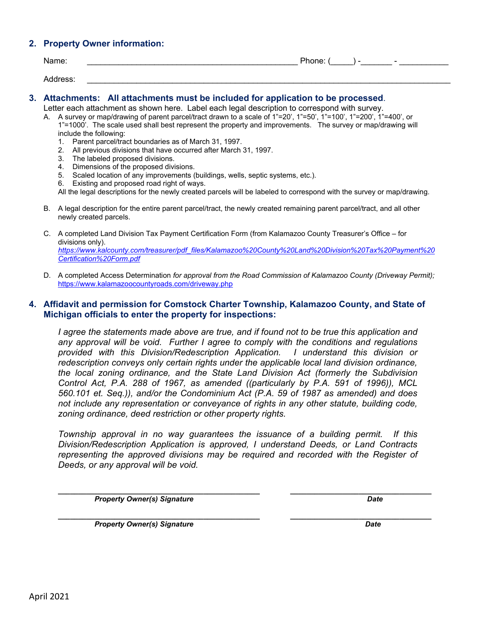### **2. Property Owner information:**

| Name:    | Phone: | - | $\overline{\phantom{0}}$ |
|----------|--------|---|--------------------------|
| Address: |        |   |                          |

#### **3. Attachments: All attachments must be included for application to be processed**.

Letter each attachment as shown here. Label each legal description to correspond with survey. A. A survey or map/drawing of parent parcel/tract drawn to a scale of 1"=20', 1"=50', 1"=100', 1"=200', 1"=400', or 1"=1000'. The scale used shall best represent the property and improvements. The survey or map/drawing will include the following:

- 1. Parent parcel/tract boundaries as of March 31, 1997.
- 2. All previous divisions that have occurred after March 31, 1997.
- 3. The labeled proposed divisions.
- 4. Dimensions of the proposed divisions.
- 5. Scaled location of any improvements (buildings, wells, septic systems, etc.).
- 6. Existing and proposed road right of ways.

All the legal descriptions for the newly created parcels will be labeled to correspond with the survey or map/drawing.

- B. A legal description for the entire parent parcel/tract, the newly created remaining parent parcel/tract, and all other newly created parcels.
- C. A completed Land Division Tax Payment Certification Form (from Kalamazoo County Treasurer's Office for divisions only). *https://www.kalcounty.com/treasurer/pdf\_files/Kalamazoo%20County%20Land%20Division%20Tax%20Payment%20 Certification%20Form.pdf*
- D. A completed Access Determination *for approval from the Road Commission of Kalamazoo County (Driveway Permit);*  https://www.kalamazoocountyroads.com/driveway.php

#### **4. Affidavit and permission for Comstock Charter Township, Kalamazoo County, and State of Michigan officials to enter the property for inspections:**

*I agree the statements made above are true, and if found not to be true this application and any approval will be void. Further I agree to comply with the conditions and regulations provided with this Division/Redescription Application. I understand this division or redescription conveys only certain rights under the applicable local land division ordinance, the local zoning ordinance, and the State Land Division Act (formerly the Subdivision Control Act, P.A. 288 of 1967, as amended ((particularly by P.A. 591 of 1996)), MCL 560.101 et. Seq.)), and/or the Condominium Act (P.A. 59 of 1987 as amended) and does not include any representation or conveyance of rights in any other statute, building code, zoning ordinance, deed restriction or other property rights.* 

*Township approval in no way guarantees the issuance of a building permit. If this Division/Redescription Application is approved, I understand Deeds, or Land Contracts representing the approved divisions may be required and recorded with the Register of Deeds, or any approval will be void.* 

*Property Owner(s) Signature* Date **Date** *Date* Date **Date Date** 

**\_\_\_\_\_\_\_\_\_\_\_\_\_\_\_\_\_\_\_\_\_\_\_\_\_\_\_\_\_\_\_\_\_\_\_\_\_\_\_\_\_\_\_\_\_\_\_\_\_\_ \_\_\_\_\_\_\_\_\_\_\_\_\_\_\_\_\_\_\_\_\_\_\_\_\_\_\_\_\_\_\_\_\_\_\_** 

**\_\_\_\_\_\_\_\_\_\_\_\_\_\_\_\_\_\_\_\_\_\_\_\_\_\_\_\_\_\_\_\_\_\_\_\_\_\_\_\_\_\_\_\_\_\_\_\_\_\_ \_\_\_\_\_\_\_\_\_\_\_\_\_\_\_\_\_\_\_\_\_\_\_\_\_\_\_\_\_\_\_\_\_\_\_**  *Property Owner(s) Signature* Date **Date 2 April 2 April 2 April 2 April 2 Date** Date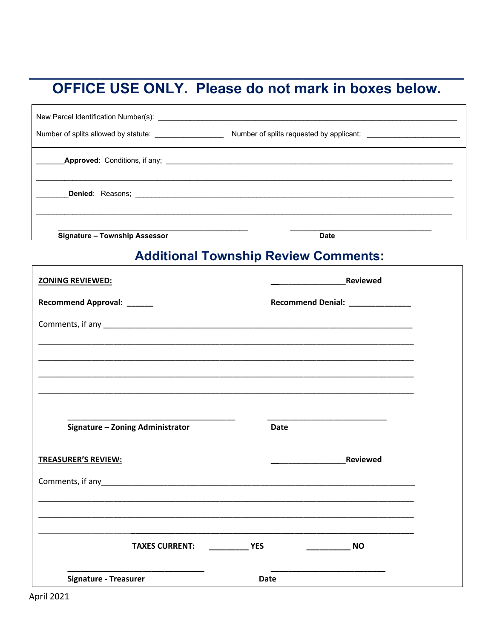# OFFICE USE ONLY. Please do not mark in boxes below.

| Number of splits allowed by statute: __________________ |             |
|---------------------------------------------------------|-------------|
|                                                         |             |
|                                                         |             |
| <b>Signature - Township Assessor</b>                    | <b>Date</b> |

# **Additional Township Review Comments:**

| <b>ZONING REVIEWED:</b>                                                                                                                                                                                                                 | <b>Reviewed</b>                                           |  |
|-----------------------------------------------------------------------------------------------------------------------------------------------------------------------------------------------------------------------------------------|-----------------------------------------------------------|--|
| Recommend Approval: ______                                                                                                                                                                                                              | Recommend Denial: _____________                           |  |
| Comments, if any <b>comments</b> of any <b>comments</b> of any comments of any comments of any comments of any comments of any comments of any comments of any comments of any comments of any comments of any comments of any comments |                                                           |  |
|                                                                                                                                                                                                                                         |                                                           |  |
|                                                                                                                                                                                                                                         |                                                           |  |
|                                                                                                                                                                                                                                         |                                                           |  |
|                                                                                                                                                                                                                                         |                                                           |  |
| Signature - Zoning Administrator                                                                                                                                                                                                        | <b>Date</b>                                               |  |
| <b>TREASURER'S REVIEW:</b>                                                                                                                                                                                                              | <b>Reviewed</b>                                           |  |
|                                                                                                                                                                                                                                         |                                                           |  |
|                                                                                                                                                                                                                                         | <u> 1980 - John Stone, Amerikaansk politiker (* 1980)</u> |  |
|                                                                                                                                                                                                                                         |                                                           |  |
| <b>TAXES CURRENT:</b>                                                                                                                                                                                                                   | <b>Example 18 YES</b><br><b>NO</b>                        |  |
| <b>Signature - Treasurer</b>                                                                                                                                                                                                            | <b>Date</b>                                               |  |